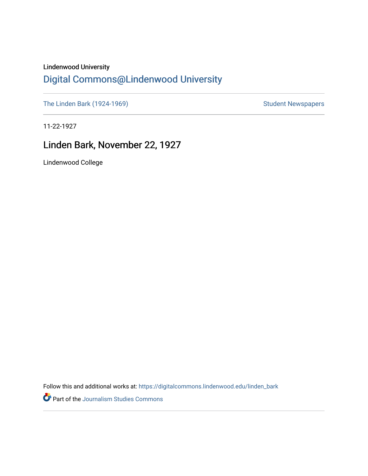## Lindenwood University

# [Digital Commons@Lindenwood University](https://digitalcommons.lindenwood.edu/)

[The Linden Bark \(1924-1969\)](https://digitalcommons.lindenwood.edu/linden_bark) [Student Newspapers](https://digitalcommons.lindenwood.edu/stu-newspapers) Student Newspapers

11-22-1927

# Linden Bark, November 22, 1927

Lindenwood College

Follow this and additional works at: [https://digitalcommons.lindenwood.edu/linden\\_bark](https://digitalcommons.lindenwood.edu/linden_bark?utm_source=digitalcommons.lindenwood.edu%2Flinden_bark%2F636&utm_medium=PDF&utm_campaign=PDFCoverPages)

Part of the [Journalism Studies Commons](http://network.bepress.com/hgg/discipline/333?utm_source=digitalcommons.lindenwood.edu%2Flinden_bark%2F636&utm_medium=PDF&utm_campaign=PDFCoverPages)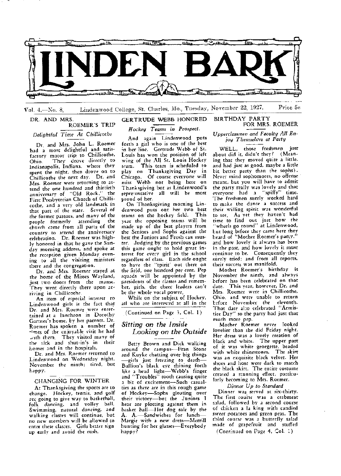

Vol. 4.-No. 8. Lindenwood College, St. Charles, Mo., Tuesday, November 22, 1927. Price 5c

#### DR. AND MRS. ROEMER'S TRIP

*Delightful Time At Chillicothe* 

Dr and Mrs. John L. Roemer had a most delightful and satisfactory motor trip to Chillicothe, They drove directly to Indianapolis, Indiana, where they spent the night, then drove on to Chillicothe the next day. Dr. and Mrs, Roemer were returning to attend the one hundred and thirtieth anniversary of "Old Rock," the First Presbyterian Church of Chillicothe, and a very old landmark in that part of the state. Several of the former pastors, and many of the people formerly attending the church came from all parts of the country to attend the anniversary celebration. Dr. Roemer was highly honored in that he gave the Sunday morning address. and spoke at the reception given Monday evening to all the visiting ministers there and the congregation.

Dr. and Mrs. Roemer stayed at the home of the Misses Wayland, just two doors from the manse. They went directly there upon arriving in Chillicothe.

An item of especial interest to Lindenwood girls is the fact that Dr. and Mrs. Roemer were entertained at a luncheon in Dorothy Gartner's home, by her parents. Dr. Roemer has spoken a number of times of the enjoyable visit he had with them. They visited many of the ~ick and shut-in's in their homes and in the hospitals.

Dr. and Mrs. Roemer returned to Lindenwood on Wednesday night, November the ninth; tired, but happy.

#### CHANGING FOR WINTER

At Thanksgiving the sports are to change. Hockey, tennis, and golf nc going to give way to basketball, folk dancing, and volley ball. Swimming, natural dancing;. and walking classes will continue, but no new members will be allowed to enter these classes. Girls better sign up tarly and avoid the rush.

## GERTRUDE WEBB HONORED *Hockey Teams in Prospect.*

And again Lindenwood puts forth a girl who is one of the best in her line. Gertrude Webb of St. Louis has won the position of left wing of the All St. Louis Hockey<br>team. This team is scheduled to This team is scheduled to play on Thanksgiving Day in Chicago. Of course everyone will miss Webb not being here on Thanksgiving but as. Lindenwood's repre:-entative all will be most 1,roud of her,

On Thanksgiving morning Lindenwood puts out her two best teams on the hockey field. This year the opposing teams will be made up of the best players from the Seniors and Sophs against the best the Juniors and Frosh can muster. Judging by the previous games this game ought to hold great interest for every girl in the school regardless of class. Each side ought to have the "spirit' out there on the field, one hundred per cent. Pep squads will be- appointed by the presidents of the classes and remember, girls, the cheer leaders can't be the whole vocal power.

While on the subject of Hockey, all who are interested at all in the

(Continued on Page 3, Col. 1)

## *Sitting on the Inside Looking on the Outside*

Betty Brown and Dick walking around the campus-Fran Stone and Kuyke chatting over big things -girls just freezing to death-Bullion's black eye shining forth 1ike a head light-Webb's finger and "Troubles" tooth causing quite a bit of excitement-Such· casualties as there are in this rough game of Hockey-Sophs gloating over their victory-but the Juniors I hear are plotting against them in *basket* ba11-Hot dog sale by the A. A.-Sandwiches for lunch-Margie with a new dress-Merrill hunting for her glasses-Everybody happy?

# FOR MRS. ROEMER

*Upperclassmen and Faculty All Enjoy Themselves at Party* 

BIRTHDAY PARTY

WELL, those freshmen just about did it, didn't they? (Meaning that they moved quite a little, and had just as good, maybe a little bit better party than the sophs). Never mind sophomores, no offensemeant, but you will have to admit the party really was lovely and that everyone had a "spiffy" time. The freshmen surely worked hard to make the dance a success and their willing spirit was wonderful to see. As yet they haven't had time to find out just how the "wheels go round" at Lindenwood, but long before they came here they heard of 1 'Mother Roemer's party," and how lovely it always has been in the past, and how lovely it must continue to *be.* Consequently they surely tried; and from all reports, their success was manifold.

Mother Roemer's birthday is November the ninth, and always before has been celebrated on that date. This year, however, Dr. and Mrs. Roemer were in Chillicothe, Ohio, and were unable to return before November the eleventh. That date al:o celebrated "Armistice Day" so the party had just that much more pep.

Mother Roemer never looked lovelier than she did Friday night. Her dress was a lovely creation of black and white. The upper part of it was white georgette, beaded with white rhinestones. The skirt was an exquisite black velvet. Her shoes and hose were dark to match the black skirt. The entire costume created a stunning effect, particularly becoming to Mrs. Roemer.

*Dinner Up to Standard* 

Dinner was served at six-thirty. The first course was a crabmeat salad, followed by a second course of chicken a la king with candied sweet potatoes and green peas, The third course was a butterfly salad made of grapefruit and stuffed

(Continued on Page 4, Col. 1)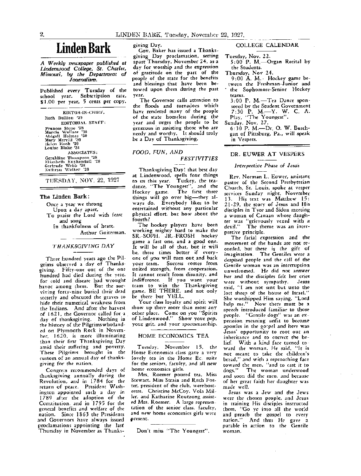# **Linden Bark**

*A Weekly mwspaper published at Lindenwood College; St. Charles, Missouri, by the Department of Journalism.* 

Published every Tuesday of the school year. Subscription rate, \$1.00 per year, 5 cents per copy.

EDITOR-IN-CHIEF, Ruth Bullion '29 EDITORIAL STAFF: Frances Stone '28 Marcia Wallace '30 Abiga:11 Holmes '30 Mary Merrill '30 Helen Hook '29 Louise Blake '31 ASSOCIATES: Geraldine Thompson '28<br>Elizabeth Kuykendall '28<br>Gertrude Webb '28<br>Kathryn Walker '28

TUESDAY, NOV. 22, 1927

#### **The Linden Bark:**

Once a year we throng Upon a day apart, To praise the Lord with feast and song

In thankfulness of heart. Arthur Guiterman.

## THANKSGIVING DAY

Three hundred years ago the Pilgrims observed a day of Thanksgiving. Fifty-one our of the one hundred had died during the year, for cold and disease had wrought havoc among them. But the surviving forty-nine buried their dead secretly and obscured the graves to hide their numerical weakness from the Indians. And after the harvest of 16 21, the Governor called for a day of thanksgiving. Nothing in the history of the Pilgrims who landed on Plymouth Rock in November, 1620. is more iiluminating than their first Thanksgiving Day amid their suffering and poverty. These Pilgrims brought in the custom of an annual day of thanksgiving for the nation,

Congrets recommended days of thanksgiving annually during the Revolution, and in 1784 for the return of peace. President Washington appointed such a day in 1789 after the adoption of the Constitution, and in 1795 for the general benefits and welfare of the nation. Since 1863 the Presidents and Governors have always issued proclamations appointing the last Thursday in November as Thanks-

Gov. Baker has issued a Thanksgiving Day proclamation, setting apart Thursday, November 24, as a day for worship and the expression of gratitude on the part of the people of the state for the benefits and blessings that have been betowed upon them during the past year.

The Governor calls attention to the floods and tornadoes which have rendered many of the people of the state homeless during the year and urges the people to be generous in assisting those who are needy and worthy. It should truly be a Day of Thanksgiving.

#### FOOD, FUN, AND

## **FESTIVITIES**

Thanksgiving Day! that best day at Lindenwood, spells four things<br>to us this year. Turkey, the teato us this year. dance, "The Youngest", and the<br>Hockey game. The first three The first three things will go over big-they always do. Everybody likes to be entertained without any particular physical effort, but how about the fourth?

The hockey players have been working mighty hard to make the SR.-SOPH, JR.-FROSH hockey game a fast one, and a good one. It will he all of that, hut it will be, three times better if everyone of *you* will turn out. and back your team. *Success* comes from united strength, from cooperation. It cannot result from disunity, and indifference. If you want your team to win the Thanksgiving game, BE THERE, and not only be there but YELL.

Your class loyalty and spirit will show up there more than most any other place. Come on you "Spirits of Lindenwood." Show your pep, your grit, and your sportsmanship.

#### HOME ECONOMICS TEA

Tuesday, November 15, the Home Economics class gave a very lovely tea in the Home Ec. suite for the seniors, faculty, and all new home economics girls.

Mrs. Roemer poured tea, Miss Stewart, Miss Strain and Ruth Foster, president of the club, were hostesses. Christine McCoy, Vola Miller, and Katharine Routzong assisted Mrs. Roemer. A large representation of the senior class, faculty, and new home economics girls were present.

Don't miss "The Youngest".

## giving Day. COLLEGE CALENDAR

Tuesday, Nov. 22.

5:00 P. M. Organ Recital by the Students.

Thursday, Nov 24.

9: 00 A. M.-Hockey game between the Freshman-Junior and the Sophomore-Senior Hockey teams.

3:00 P. M.-Tea Dance sponsored by the Student Government 7:30 P. M.-Y. W. C. A. Play, "The Youngest".

Sunday, Nov. 27.

6:30 P. M.-Dr. 0. W. Buschgan of Pittsburg, Pa., will speak in Vespers.

#### DR. EUWER AT VESPERS

## *Interpretive Phase of Jesus*

Rev. Norman L. Euwer, assistant pastor of the Second Presbyterian Church, St. Louis, spoke at vesper services Sunday night, November 13. His text was Matthew 15: 21-29. the story of Jesus and His disciples in Tyre and Sidon meeting a woman of Canaan whose daughter was "grievously vexed with a devil." The theme was an interpretive principle.

The facial expression and the movement of the hands are not recorded, but there is the gift of imagination. The Gentiles were a despised people and the call of the Gentile woman was an interruption unwelcomed. He did not answer her and the disciples felt her cries were without sympathy. Jesus said, "I am not sent but unto the lost sheep of the house of Israel." She worshipped Him saying, "Lord help me." Now there must be a speech introduced familiar to those people. "Gentile dogs" was an expression meaning unfit to become apostles in the go:pel and here was Jesus' opportunity to root out an inheritance and to correct the belief. With a kind face turned toward the woman, He said, "It is not meant to cake the children's bread," and with a reproaching face toward the men. "and to cast it to<br>dogs." The woman understood The woman understood and saon did the men, and because of her great faith her daughter was made well.

Jesus was a Jew and the Jews were the chosen people, and Jesus in training His discipJes instructed them, "Go ye into all the world and preach the gospel to every nation." And thus He gave a parable in action to the Gentile woman.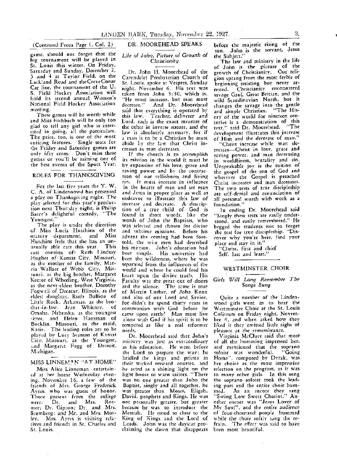(Contnucd From Page I. Col. 2)

game, should not forget that the big tournament will be played in St. Louis this winter. *Oµ* Friday. Saturday and Sunday, December 2, 3 and 4 at Taylor Field, on the Lackland Road and theCreveCoeur Car line, the tournament of the U. S. Field Hockey Association will bold its second annual Women's National Field Hockey Association meeting.

These games will be worth while and Miss Eschbach will be only too glad to tell any girl who is inter~ ested in going, all the particulars. The price, too, is one of the most enticing features. Single seats for the Friday and Saturday games are only fifty cents. Don't miss these games or you'll be missing one of the best events of the Sport Year.

## ROLES FOR THANKSGIVING

For the last five years the Y. W. C. A. of Lindenoowd has presented a play on Thanksgiving night. The play selected for this year's production next Thur:day night, is Philip Barry's delightful comedy, "The Youngest."

The play is under the direction of Miss Lucia Hutchins of the oratory department, and Miss Hutchins feels that she has an unusually able cast this year. This cast consists of: Ruth Lindsay Hughes of Kansas City, Missouri, as the mother of the family, Marcia Wallace of Webb City, Missouri, as the big brother, Margaret Keetor of Wheeling, West Virginia, as the next-eldest brother, Dorothy Fogwell of Decatur, lllin\_ois, as the eldest daughter, Ruth Bullion of Little Rock, Arkansas, as the brother-in-law, Jean Whitney, of Omaha, Nebraska, as the youngest (ister, and Helen Hansman of Bucklin, Missouri, as the maid, Katie. The leading roles are to be played by Lucy Seaman of Kansas City, Missouri, as the Youngest, ;.nd Margaret Fagg of Detroit, Michigan.

### MISS LINNEMAN "AT HOME"

Miss Alice Linneman entertain-£:d at her home Wednesday evening, November 16, a few of the friends of Mrs. George Frederick Ayres, who was guest of honor. Those present from the college<br>were: Dr. and Mrs. Roe-Dr. and Mrs. mer; Dr. Gipson; Dr. and Mrs. Stomberg; and Mr. and Mrs. Motley. Mrs. Ayres is visiting relatives and friends in St. Charles and St. Louis.

 $\bar{z}$ 

#### DR. MOOREHEAD SPEAKS

#### Life of John, Picture of Growth of Christianity

Dr. John H. Moorehead of the Carondelet Presbyterian Church of St. Louis, spoke at Vespers, Sunday night, November 6. His text was taken from John 3: 30, which is, "He must increase, but man must<br>decrease." And Dr. Moorehead And Dr. Moorehead said that everything is operated by this law. Teacher, deJlverer and Lord, each is the exact measure of the other in inverse nature, and the law is absolutely necessary, for if a man is to be a Christian he must abide by the law that Christ increases as man decreases.

If the church is to accomplish its mission in the world it must be by expansion of his love, grace and saving power and by the contraction of our selfishness and living sin. It must increase in influence in the hearts of man and set man and Jesus in proper place as well as endeavor to illustrate *chis* law of increase 2nd decrease. A description of a true child of God is found in short words, like the words of John the Baptists, who was selected and chosen for divine and sublime missions. Before his advent the coming had been foretold, the wi.ce men had described his mission. John's education had been simple. His university had been the wilderness, where he was separated from the influences of the world and where he could feed his heart upon the divine truth. His Faculty w2s the great out of doors and the silence. The same is true of Martin Luther, of John Knox and also of our Lord and Savior, for didn't be spend thirty years in communion with God before he came upon earth? Man must live alone with God if his spirit is to be tempered as like a real reformer needs.

Dr. Moorehead said that John's misistry was just as extraordinary as his education. He went before the Lord to prepare the way: he brjdkd the kings and priests in their wicked onward courses, and he acted as a shining light on the light house to warn sailors. "There was no one greater than John the Baptist, singly and all together, he was greater than Moses, Eligah. David, prophets and Kings. He was not personally greater, but greater because he was to introduce the Messiah. He stood so close to the King of Kings and the Lord of Lords. John was the daystar proclaiming the dawn that disappears before the majestic rising of the sun. John is the servant, Jesus the Subject."

The law and ministry in the life of John is the picture of the growth of Christianity. Our religion sprang from the most feeble of beginning resisting but never arrested. Christianity encountered savage Gaul, Great Britian, and the wild Scandinavian North, but it changes the savage into the gentle: and simple Christian. \*'The Hisory of the world for nineteen centuries is a demonstration of this text" said Dr. Moorehead. "The development illustrates this increase of Him and the decrease of man."

"Christ increase while man decreases.--Christ in love, grace and saving power, and man decreasing in worldliness, brutality and sin. Unspeakable joy is the tuition of the gospel of the son of God and wherever the Gospel is preached Chtist increases and man decreases. The two tests of true discipleship are self-denial and renunciation of all personal worth with work as a foundation."

In ending Dr. Moorehead said "Singly these tests are easily understood, and easily remembered." He begged the students not to forget the test for true discipleship. "Discover why you're here, find your place and stay in it."

"Christ, first and chief Self. last and least."

### WESTMINSTER CHOIR

#### *Girls Will Long Remember The*  Songs Sung

Quite a number of the Lindenwood girls went in to hear the W cstminster Choir at the St. Louis Coliseum on Friday night, November 4, and when asked how they liked it they emitted little sighs of pleasure at the remembrance.

Virginia McClure- said that most of all the humming impressed her, and mentioned that the soprano r.oloist was wonderful. "Going Home", composed by Dvrak, was her choice as the most impressive selection on the program, as it was to many other girls. In this song the soprano soloist took the leading part and the entire choir hummed. As an encore- they sang "Swing Low Sweet Chariot." Another encore was "Jesus Lover of My Soul", and the entire audience of four-thomand people hummed while the choir softly sang the refrain. The effect was said to have been most beautiful.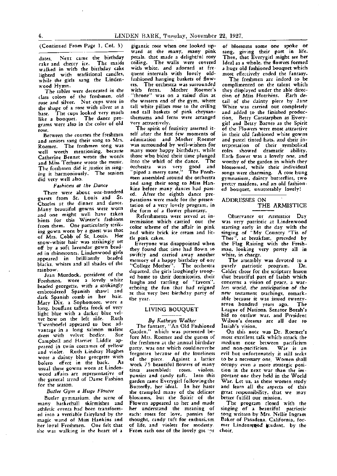dates, Next came the birthday<br>cake\_and\_cherry\_ice. The\_maids cake and cherry ice. and cherry ice. The maids walked in with the birthday cake lighted with traditional candles, while the girls sang the Lindenwood Hymn.

*The* tables were decorated in the class colors of the freshmen, old rose and silver. Nut cups were in the shape of a rose with silver as a base. The cups looked very much like a bouquet. The dance programs were also in the color of old

Between the courses the freshmen and seniors sang their song to Mrs. Roemer. The freshmen song was well worth mentioning, because Catherine Bennet wrote the words and Miss Terhune wrote the music. The freshmen did it justice in singing it harmoniously. The seniors did very well also.

#### *Fashions at the Dance*

There were about one-hundred guests from St. Louis and St. Charles at the dinner and dance. Many beautiful gowns were worn and one might well have taken hints for this Winter's fashions from them. One panicularly striking' gown worn by a guest was that of Mrs. Cobb of St. Louis. Her snow-white hair was strikingly set off by a soft lavendar gown beaded in rhinestones. Lindenwood girls<br>anneared in brilliantly beaded appeared in brilliantly blacks, whites and all shades of the rainbow.

Jean Murdock, president of the Freshmen. wore a lovely white beaded georgette, with a strikingly embroidered Spanish shawl and dark Spanish comb in her hair. Mary Dix, a Sophomore, wore a long, bouffant taffeta frock of very light blue with a darker blue velvet bow on the left side. Ruth Twenhoefel appeared to best advantage in a long salmon maline dress with velvet bodice. Campbeil and Harriet Liddle appeared in twin costumes of yellow and violet. Ruth Lindsay Hughes wore a dainty blue georgette with bolero effect in the back. As usual these gowns worn at Lindenwood affairs are representative of the general trend of Dame Fashion for the season.

### *Butler Gym a Huge Flower*

Butler gymnasium, the scene of many basketball skirmishes and athletic events had been transformed into a vertiable fairyland by the magic wand of Miss Hankins and her loyal Freshmen. One felt that she was walking in the heart of a

(Continued From Page 1, Col. 3) gigantic rose when one looked up- of blossoms some one spoke or<br>ward at the many, many pink sang, giving their part in life.<br>dates. Next came the birthday petals, that made a delightful rosy petals, that made a delightful rosy Then, that Everygirl might see her ceiling. The walls were covered Ideal as a whole, the flowers formed ceiling. The walls were covered Ideal as a whole, the flowers formed with white, and adorned at fre- a huge old fashioned bouquet which<br>quent intervals with lovely old- most effectively ended the fantasy. fashioned hanging baskets of flow-<br>ers. The orchestra was surrounded ers. The orchestra was surrounded complimented on the talent which with ferns. Mother Roemer's they displayed under the able direc- . "throne" was on a raised dias at tion of Miss Hutchins. Each *de*the western end of the gym, where tail of the dainty piece by Jane tall white pillars rose to the ceiling White was carried out completely and tall baskets of pink chrysan- and added to the finished produc-<br>themums and ferns were arranged tion Betty Carstarphen as Everythemums and ferns were arranged tion. Betty Carstarphen as Every-<br>very attractively. (in and Botty Barnes as the Spirit

The spirit of festivity asserted it-<br>self after the first few moments of in their old fashioned white gowns self after the first few moments of in their old fashioned white gowns<br>admiration and Mother Roemer and pastel tinted hats, and their inadmiration and Mother Roemer and pastel tinted hats. and their inmany more happy birthdays, while<br>those who bided their time plunged those who bided their time plunged Each flower was a lovely one, and<br>into the whirl of the dance. The worthy of the garden in which they orchestra was very good and<br>"piped a merry tune." The Fresh-"piped a merry tune." The Fresh- songs were charming. A rose hung and sang their song to Miss Han-pretty maidens, and an old fashion-<br>kins before many dances had pass- ed bouquet, unutterably lovely! ed. After the eighth dance preparations were made for the presentation of a very lovely program, in the form of a flower phantasy.

Refreshments were served at intermission which carried out the color scheme of the affair in pink and white brick ice cream and little pink cakes.

Everyone was disappointed when they found that time had flown so swiftly and carried away another memory of a happy birthday of our ''College Mother''. The orchestra departed, the girls laughingly trooped home to their dormitories, their laughs and rattling of "favors" echoing the fun that had reigned at this very best birthday party of the year.

#### **LIVING** BOUQUET

## *Bg Kathrgr, Walker*

The fantasy, ''An Old Fashioned Garden," which was presented before Mrs. Roemer and the guests of the freshmen at the annual birthday party, was one which couldneverbe forgotten because of the loveliness of the piece. Against a lattice work 75 beautiful flowers of many tints assembled: roses, violets, pansies and candy tuft. Into this garden came Everygirl followingthe Butterfly, her ideal. In her haste she trampled many of the delicate blossoms, but the Spirit of the Flowers appeared to her and made her understand the meaning of each: roses for love, pansies for thought, candy tuft for enthusiesm of life, and violets for modesty. From each one of the lovely groups

most effectively ended the fantasy.<br>The freshmen are indeed to be ry attractively.<br>The spirit of festivity asserted it-<br>The spirit of festivity asserted it-<br>of the Flowers were most attractive terpretation of their symbolical<br>roles showed dramatic ability. worthy of the garden in which they<br>blossomed. while their individual gymnasium, dainty butterflies, two  $ed$  bouquet, unutterably lovely!

#### ADDRESSES ON THE ARMISTICE

Observance or Armistice Day was very patriotic at Lindenwood starting early in the day with the singing of "My Country 'Tis of Thee", at breakfast, preceded by the Flag Raising with the Freshman, looking very pretty all in white, in charge.

The arsembly was devoted to a purely patriotic program. Dr. Calder chose for the scripture lesson that beautiful part of Isaiah which concerns a vision of peace. a war-*Jes-s world, the* anticipation of the new testament teachings, remarkable because it was issued twenty-<br>seven bundred vears ago. The seven hundred years ago. League of Nations, Senator Borah's bid to outlaw war, and President Wilson's dreams are all due to Isaiah's vision.

On this note was Dr. Roemer's most excellent talk which struck the medium note between pacificism and non-pacificism. War is an evil but unfortunately it still seeks to be a necessary one. Women shall occupy even a more strategic position in the next war than the important one they held in the World War. Let us, as these women study and learn all the aspects of this great responsibility. that we may better fulfill our mission.

The program dosed with the singing of a beautiful patriotic song written by Mrs. Nellie Ingram Baker of Pasadena, California, former Lindenwood atudent, by the choir. ·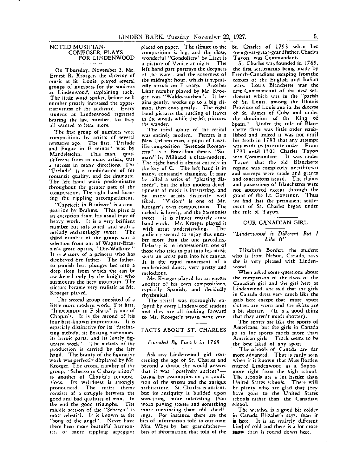## NOTED MUSICIAN-<br>COMPOSER PLAYS ...FOR LINDENWOOD

On Thursday, November 3, Mr. Ernest R. Kroeger, the director of music at St. Louis, played several groups of numbers for the students at Lindenwood, explaining each. The little word spoken before each number greatly increased the appre~ ciativeness of the audience. Every student at Lindenwood regretted hearing the last number, for they all wanted to hear more.

The first group of numbers were compositions by artists of several centuries ago. The first, "Prelude and Fugue in E minor" was by Mande1ssohn. This man, quite different from so many artists, was a success in many directions. The "Prelude" is a combination of the romantic quality, and the dramatic. The left hand work predominates throughout the greater part of the composition. The- right hand forming the rippling accompaniment.

"Capriccia in B minor" is a composition by Brahms. This piece is an exception from his usual type of heavy work. It is a very brilliant number but soft-toned, and with a melody enchantingly sweet. The third number of the group was a selection from one of Wagner-Brassin's. great operas, "Die-Walkure." It is a story of a princess who has di:obeyed her father. The father. to punish her, plunges. her into a deep sleep from which she can be awakened only by the knight who surmounts the fiery mountain. The picture became very realistic as Mr. Kroeger played.

The second group consisted of a little more modern work. The first, "Impromptu in F sharp" is one of Chopin's. It is the recond of his four best-known impromptus. lt is especialy distinctive for its "fascinating melody, its floating harmonies, its heroic parts, and its lovely figurated work". The melody of the production *is* carried by the left hand. The beauty of the figurative work was perfectly displayed by Mr. Kreeger. The second number of the group. "Scherzo in C sharp minor" is another of Chopin's comopsitions, Its weirdness is strongly p,ronounced. The entire theme consists of a struggle between the good and bad qualities of man. In the end the good triumphs. The middle section of the "Scherzo" is most celestial. It is known as the "song of the angel". Never have there been more beatuiful harmonies, or more rippling arpeggios

placed on paper. The climax to the composition is big, and the close, wonderful "Gondoliers" by Liszt is a picture of Venice at night. The left hand part portrays the' deepness of the water, and the soberness of the midnight hour, which is repeatedly struck on F sharp,. Another Liszt number played by Mr. Kroeger was "Waldesrauchen". It *be*gins gently, works up to a big climax, then ends gently. The right hand pictures the rustling of leaves in the woods while the left pictures the wander.

The- third group of the recital was entirely modern. Ferrara is a New Orleans man, a pupil of Liszt. His composition "Serenade Romanesca'' is a Brazillian dance. ''Sumare" by Milhaud is ultra-modern. The right hand is almost entirely in the key of C. The left hand *is* in many, constantly changing. It may be called a series of "pleasing discords", but the ultra-modern development of music is interesting, and by many artists distinctly well liked. "Vision" is one of Mr. Kroeger's own compositions. The melody is lovely, and the harmonies sweet. It is almost entirely cross hand work. Mr. Kroeger played it with great understanding. The audience seemed to enjoy this number more than the one preceding. Debussy is an impressionist. one of those who tries to put into his music what an artist puts into his canvas. It is the rapid movement of a modernized dance, very pretty and melodious.

Mr. Kroeger played for an encore another of his own compositions, typically Spanish, and decidedly rhythmical.

The recital was thoroughly enjoyed by every Lindenwood student and they are all looking. forward to Mr. Kroeger's return next year.

#### FACTS ABOUT ST. CHARLES

#### *Founded By French in* 1769

Ask any Lindenwood girl concerning the age of St. Charles and beyond a doubt she- would answer that it was "postively ancient"basing her assumption on the condition of the streets and the antique architecture. St. Charles is ancient, but its antiquity is builded upon something more interesting than worn paving stones and something more convincing than old dwellings. For instance, there are the bits of information told to our own Mrs. Whys by her grandfatherbits of information that told of theSt. Charles of 1793 when her own great-great-grandfather, Charles Ta yon, was Commandant.

**St. Charles was founded in** I 7 6 9, the first settlements being made by French-Canadians escaping from the terrors of the English and Indian wars. Louis Blanchette was the first Commandant of the new settlement which was in the "parish of St. Louis, among the Illinois Province of Louisiana in the diocese of St. James of Cuba and under the dominion of the King of<br>Spain." Under the rule of Blan-Under the rule of Blanchette there was little order established and indeed it was not until his death in 1793 that any attempt was made to institute order. From 1793 until 1801 Charles Tayon was Commandant. It was under Ta yon that the old Blanchette regime was completely overthrown and surveys were made and grants and concessions issued. The claims and possessions of Blanchettes werenot approved except through the grant of the Lt. Governor. Thus we find that the permanent settlement of St. Charles began under the rule of Tayon.

## OUR **CANADIAN GIRL**

#### *"Linden wood is Different But 1 Like It"*

Elizabeth Borden, the student who *is* from Nelson, Canada, says she is very pleased with Lindenwood,.

When asked some questions about the comparison of the dress of the Canadian girl and the girl here at Lindenwood, she said that the girls in Canada dress very much like the girls here except that more sport clothes are worn and the skirts area bit shorter. (It is a good thing that they aren't much shorter).

The sports are like the sports of Americans, but the girls in Canada go in for sports much more than American girls. Track seems to be the best liked of any sport.

The schools of Canada are far more advanced. That is easily seen when it is known that Miss Borden entered Lindenwood as a Sophomore right from the- high school. The schools are a lot harder than United States schools. There will be- plenty who are glad that they have gone- to the United States schools rather than the Canadian school.

The weather is a good bit colder in Canada Elizabeth says, than it is here. It is an entirely different kind of cold and there is a lot more snow then is found down here.